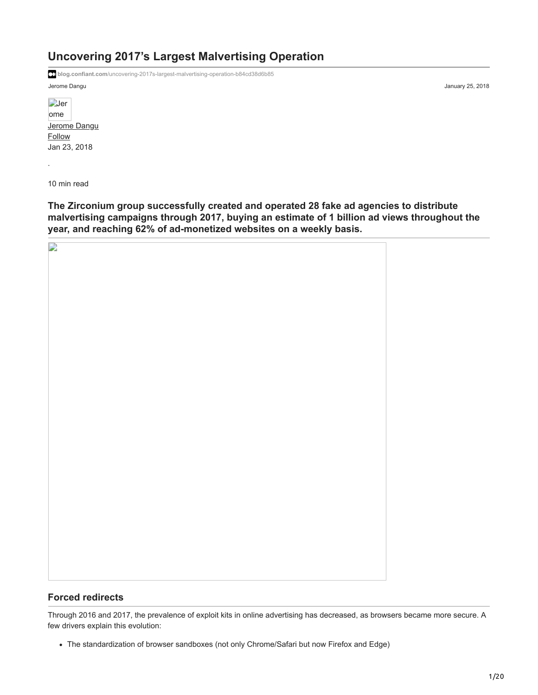# **Uncovering 2017's Largest Malvertising Operation**

**blog.confiant.com**[/uncovering-2017s-largest-malvertising-operation-b84cd38d6b85](https://blog.confiant.com/uncovering-2017s-largest-malvertising-operation-b84cd38d6b85)

Jerome Dangu January 25, 2018

**D**er [ome](https://medium.com/@synku?source=post_page-----b84cd38d6b85--------------------------------) [Jerome Dangu](https://medium.com/@synku?source=post_page-----b84cd38d6b85--------------------------------) [Follow](https://medium.com/m/signin?actionUrl=https%3A%2F%2Fmedium.com%2F_%2Fsubscribe%2Fuser%2Fb695b22b2d84&operation=register&redirect=https%3A%2F%2Fblog.confiant.com%2Funcovering-2017s-largest-malvertising-operation-b84cd38d6b85&user=Jerome+Dangu&userId=b695b22b2d84&source=post_page-b695b22b2d84----b84cd38d6b85---------------------follow_byline-----------) Jan 23, 2018

10 min read

·

**The Zirconium group successfully created and operated 28 fake ad agencies to distribute malvertising campaigns through 2017, buying an estimate of 1 billion ad views throughout the year, and reaching 62% of ad-monetized websites on a weekly basis.**

| P. |  |
|----|--|
|    |  |
|    |  |
|    |  |
|    |  |
|    |  |
|    |  |
|    |  |
|    |  |
|    |  |
|    |  |
|    |  |
|    |  |
|    |  |
|    |  |
|    |  |
|    |  |
|    |  |
|    |  |
|    |  |

#### **Forced redirects**

Through 2016 and 2017, the prevalence of exploit kits in online advertising has decreased, as browsers became more secure. A few drivers explain this evolution:

The standardization of browser sandboxes (not only Chrome/Safari but now Firefox and Edge)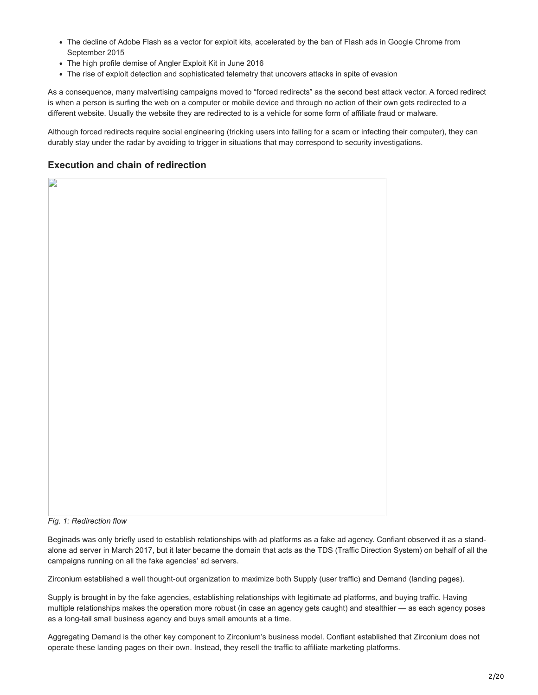- The decline of Adobe Flash as a vector for exploit kits, accelerated by the ban of Flash ads in Google Chrome from September 2015
- The high profile demise of Angler Exploit Kit in June 2016
- The rise of exploit detection and sophisticated telemetry that uncovers attacks in spite of evasion

As a consequence, many malvertising campaigns moved to "forced redirects" as the second best attack vector. A forced redirect is when a person is surfing the web on a computer or mobile device and through no action of their own gets redirected to a different website. Usually the website they are redirected to is a vehicle for some form of affiliate fraud or malware.

Although forced redirects require social engineering (tricking users into falling for a scam or infecting their computer), they can durably stay under the radar by avoiding to trigger in situations that may correspond to security investigations.

#### **Execution and chain of redirection**

P

*Fig. 1: Redirection flow*

Beginads was only briefly used to establish relationships with ad platforms as a fake ad agency. Confiant observed it as a standalone ad server in March 2017, but it later became the domain that acts as the TDS (Traffic Direction System) on behalf of all the campaigns running on all the fake agencies' ad servers.

Zirconium established a well thought-out organization to maximize both Supply (user traffic) and Demand (landing pages).

Supply is brought in by the fake agencies, establishing relationships with legitimate ad platforms, and buying traffic. Having multiple relationships makes the operation more robust (in case an agency gets caught) and stealthier — as each agency poses as a long-tail small business agency and buys small amounts at a time.

Aggregating Demand is the other key component to Zirconium's business model. Confiant established that Zirconium does not operate these landing pages on their own. Instead, they resell the traffic to affiliate marketing platforms.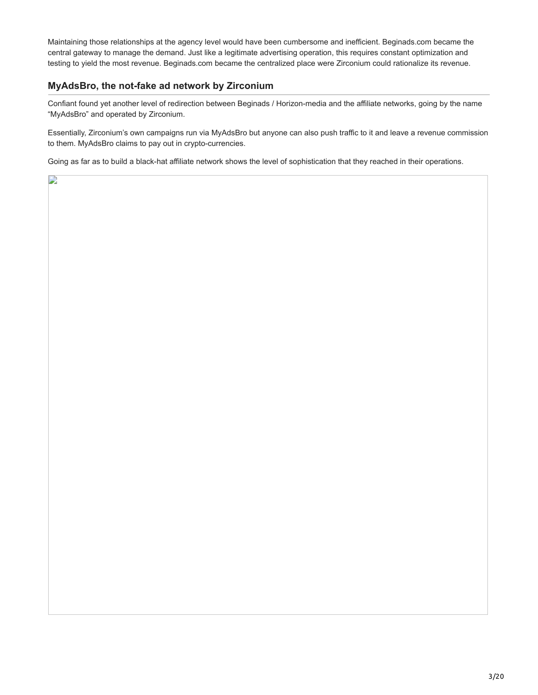Maintaining those relationships at the agency level would have been cumbersome and inefficient. Beginads.com became the central gateway to manage the demand. Just like a legitimate advertising operation, this requires constant optimization and testing to yield the most revenue. Beginads.com became the centralized place were Zirconium could rationalize its revenue.

#### **MyAdsBro, the not-fake ad network by Zirconium**

D

Confiant found yet another level of redirection between Beginads / Horizon-media and the affiliate networks, going by the name "MyAdsBro" and operated by Zirconium.

Essentially, Zirconium's own campaigns run via MyAdsBro but anyone can also push traffic to it and leave a revenue commission to them. MyAdsBro claims to pay out in crypto-currencies.

Going as far as to build a black-hat affiliate network shows the level of sophistication that they reached in their operations.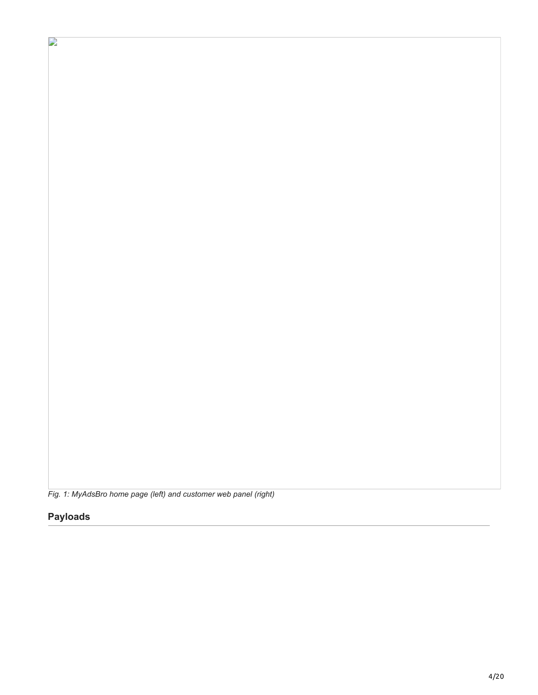*Fig. 1: MyAdsBro home page (left) and customer web panel (right)*

## **Payloads**

P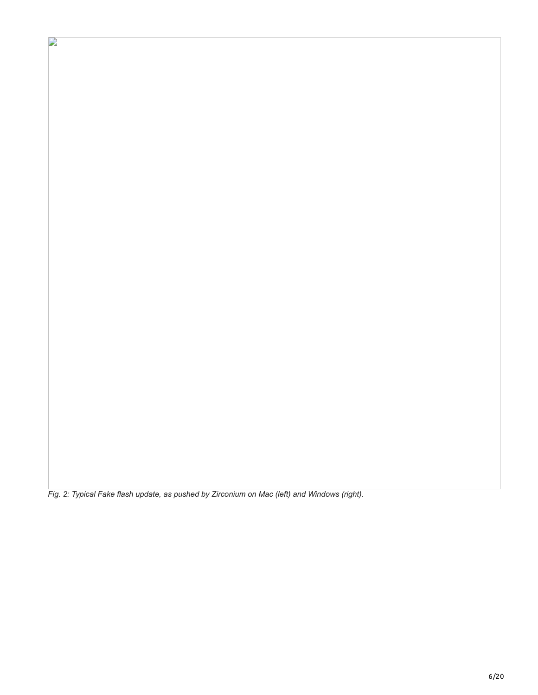*Fig. 2: Typical Fake flash update, as pushed by Zirconium on Mac (left) and Windows (right).*

 $\mathbf{r}$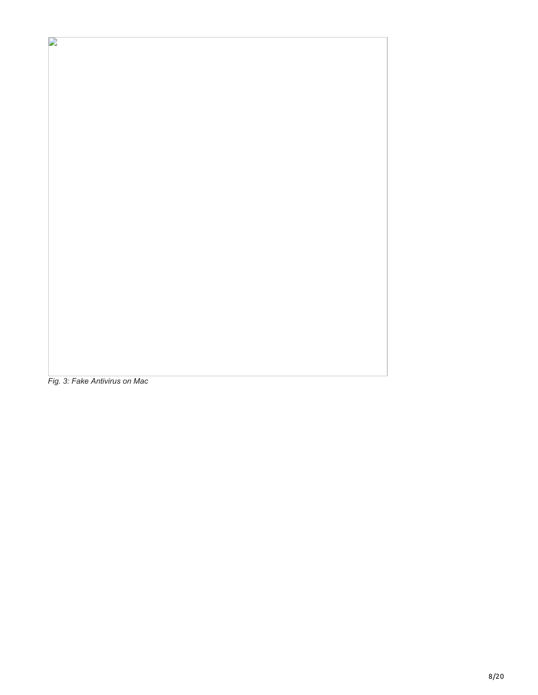*Fig. 3: Fake Antivirus on Mac*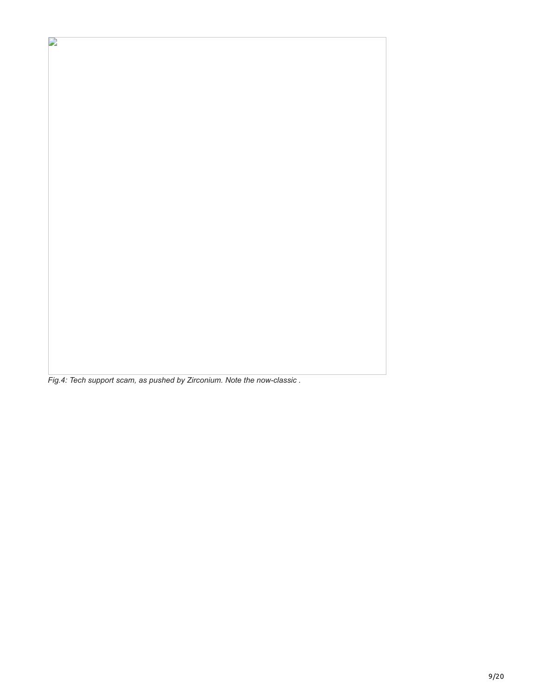*Fig.4: Tech support scam, as pushed by Zirconium. Note the now-classic .*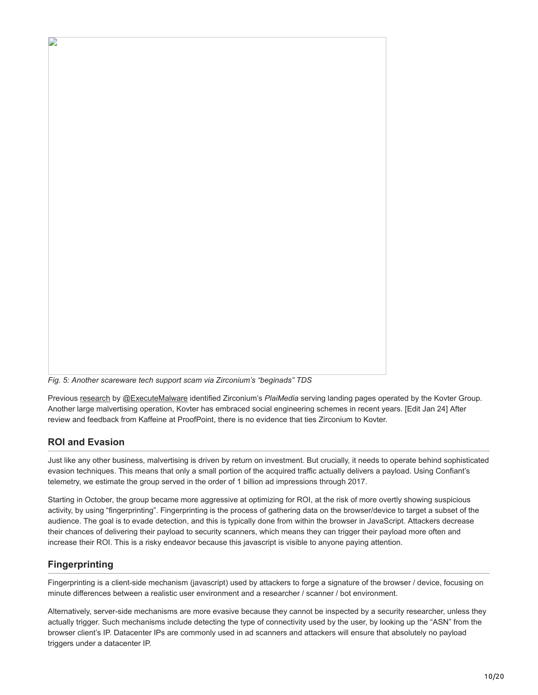

*Fig. 5: Another scareware tech support scam via Zirconium's "beginads" TDS*

Previous [research](https://executemalware.com/?p=432) by [@ExecuteMalware](https://twitter.com/ExecuteMalware) identified Zirconium's *PlaiMedia* serving landing pages operated by the Kovter Group. Another large malvertising operation, Kovter has embraced social engineering schemes in recent years. [Edit Jan 24] After review and feedback from Kaffeine at ProofPoint, there is no evidence that ties Zirconium to Kovter.

## **ROI and Evasion**

Just like any other business, malvertising is driven by return on investment. But crucially, it needs to operate behind sophisticated evasion techniques. This means that only a small portion of the acquired traffic actually delivers a payload. Using Confiant's telemetry, we estimate the group served in the order of 1 billion ad impressions through 2017.

Starting in October, the group became more aggressive at optimizing for ROI, at the risk of more overtly showing suspicious activity, by using "fingerprinting". Fingerprinting is the process of gathering data on the browser/device to target a subset of the audience. The goal is to evade detection, and this is typically done from within the browser in JavaScript. Attackers decrease their chances of delivering their payload to security scanners, which means they can trigger their payload more often and increase their ROI. This is a risky endeavor because this javascript is visible to anyone paying attention.

## **Fingerprinting**

Fingerprinting is a client-side mechanism (javascript) used by attackers to forge a signature of the browser / device, focusing on minute differences between a realistic user environment and a researcher / scanner / bot environment.

Alternatively, server-side mechanisms are more evasive because they cannot be inspected by a security researcher, unless they actually trigger. Such mechanisms include detecting the type of connectivity used by the user, by looking up the "ASN" from the browser client's IP. Datacenter IPs are commonly used in ad scanners and attackers will ensure that absolutely no payload triggers under a datacenter IP.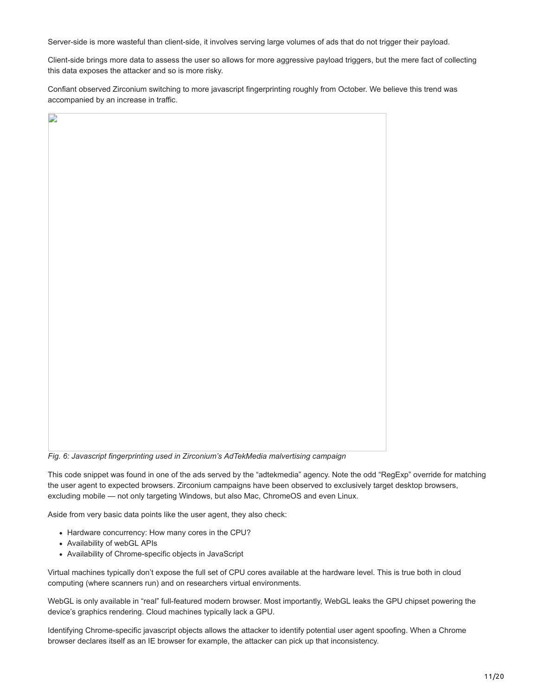Server-side is more wasteful than client-side, it involves serving large volumes of ads that do not trigger their payload.

Client-side brings more data to assess the user so allows for more aggressive payload triggers, but the mere fact of collecting this data exposes the attacker and so is more risky.

Confiant observed Zirconium switching to more javascript fingerprinting roughly from October. We believe this trend was accompanied by an increase in traffic.

| $\Box$ |  |
|--------|--|
|        |  |
|        |  |
|        |  |
|        |  |
|        |  |
|        |  |
|        |  |
|        |  |
|        |  |
|        |  |
|        |  |
|        |  |
|        |  |
|        |  |
|        |  |
|        |  |
|        |  |
|        |  |
|        |  |
|        |  |
|        |  |
|        |  |
|        |  |
|        |  |
|        |  |
|        |  |
|        |  |
|        |  |
|        |  |

*Fig. 6: Javascript fingerprinting used in Zirconium's AdTekMedia malvertising campaign*

This code snippet was found in one of the ads served by the "adtekmedia" agency. Note the odd "RegExp" override for matching the user agent to expected browsers. Zirconium campaigns have been observed to exclusively target desktop browsers, excluding mobile — not only targeting Windows, but also Mac, ChromeOS and even Linux.

Aside from very basic data points like the user agent, they also check:

- Hardware concurrency: How many cores in the CPU?
- Availability of webGL APIs
- Availability of Chrome-specific objects in JavaScript

Virtual machines typically don't expose the full set of CPU cores available at the hardware level. This is true both in cloud computing (where scanners run) and on researchers virtual environments.

WebGL is only available in "real" full-featured modern browser. Most importantly, WebGL leaks the GPU chipset powering the device's graphics rendering. Cloud machines typically lack a GPU.

Identifying Chrome-specific javascript objects allows the attacker to identify potential user agent spoofing. When a Chrome browser declares itself as an IE browser for example, the attacker can pick up that inconsistency.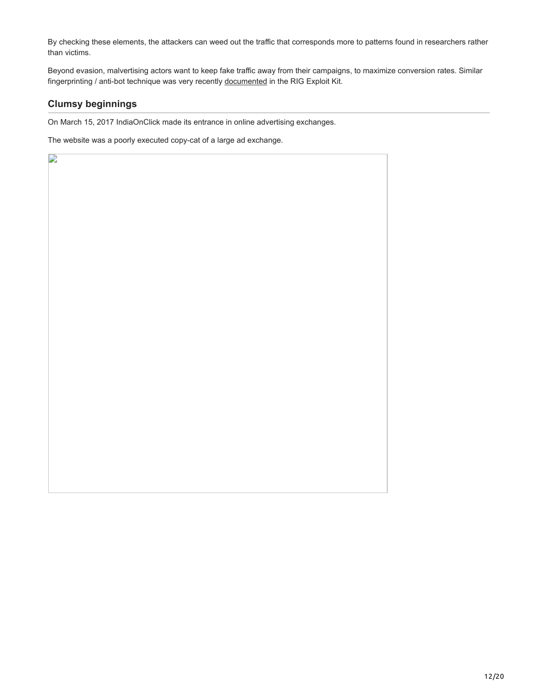By checking these elements, the attackers can weed out the traffic that corresponds more to patterns found in researchers rather than victims.

Beyond evasion, malvertising actors want to keep fake traffic away from their campaigns, to maximize conversion rates. Similar fingerprinting / anti-bot technique was very recently [documented](http://www.vkremez.com/2018/01/lets-learn-dissect-rig-exploit-kit-anti.html) in the RIG Exploit Kit.

## **Clumsy beginnings**

 $\mathbf{L}$ 

On March 15, 2017 IndiaOnClick made its entrance in online advertising exchanges.

The website was a poorly executed copy-cat of a large ad exchange.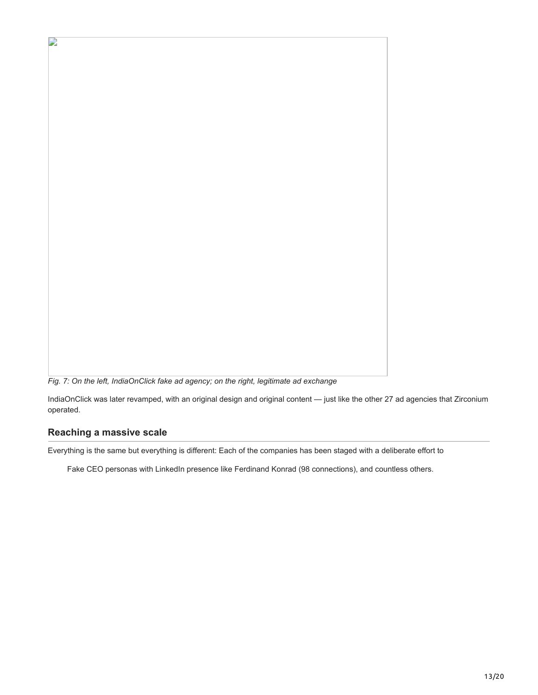*Fig. 7: On the left, IndiaOnClick fake ad agency; on the right, legitimate ad exchange*

IndiaOnClick was later revamped, with an original design and original content — just like the other 27 ad agencies that Zirconium operated.

#### **Reaching a massive scale**

D

Everything is the same but everything is different: Each of the companies has been staged with a deliberate effort to

Fake CEO personas with LinkedIn presence like Ferdinand Konrad (98 connections), and countless others.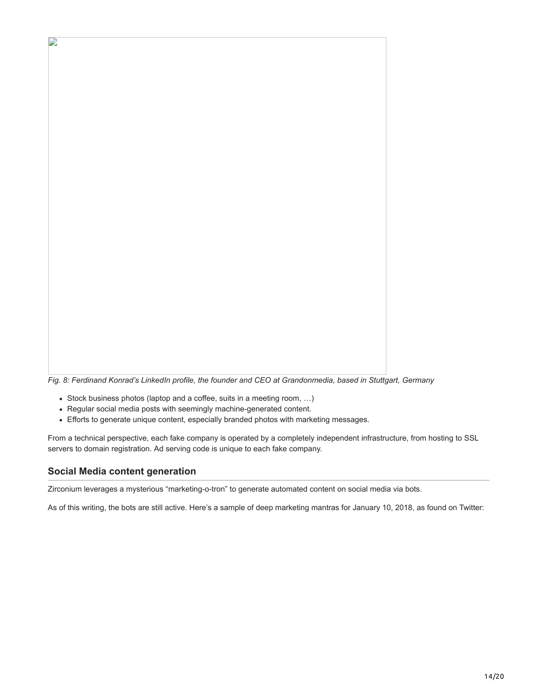

*Fig. 8: Ferdinand Konrad's LinkedIn profile, the founder and CEO at Grandonmedia, based in Stuttgart, Germany*

- Stock business photos (laptop and a coffee, suits in a meeting room, …)
- Regular social media posts with seemingly machine-generated content.
- Efforts to generate unique content, especially branded photos with marketing messages.

From a technical perspective, each fake company is operated by a completely independent infrastructure, from hosting to SSL servers to domain registration. Ad serving code is unique to each fake company.

#### **Social Media content generation**

Zirconium leverages a mysterious "marketing-o-tron" to generate automated content on social media via bots.

As of this writing, the bots are still active. Here's a sample of deep marketing mantras for January 10, 2018, as found on Twitter: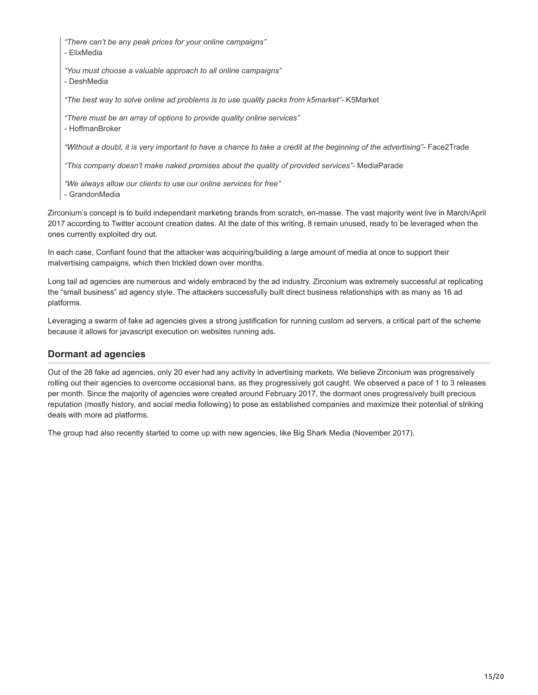*"There can't be any peak prices for your online campaigns"*

- ElixMedia

*"You must choose a valuable approach to all online campaigns"*

- DeshMedia

*"The best way to solve online ad problems is to use quality packs from k5market"-* K5Market

*"There must be an array of options to provide quality online services"* - HoffmanBroker

*"Without a doubt, it is very important to have a chance to take a credit at the beginning of the advertising"-* Face2Trade

*"This company doesn't make naked promises about the quality of provided services"-* MediaParade

*"We always allow our clients to use our online services for free"*

- GrandonMedia

Zirconium's concept is to build independant marketing brands from scratch, en-masse. The vast majority went live in March/April 2017 according to Twitter account creation dates. At the date of this writing, 8 remain unused, ready to be leveraged when the ones currently exploited dry out.

In each case, Confiant found that the attacker was acquiring/building a large amount of media at once to support their malvertising campaigns, which then trickled down over months.

Long tail ad agencies are numerous and widely embraced by the ad industry. Zirconium was extremely successful at replicating the "small business" ad agency style. The attackers successfully built direct business relationships with as many as 16 ad platforms.

Leveraging a swarm of fake ad agencies gives a strong justification for running custom ad servers, a critical part of the scheme because it allows for javascript execution on websites running ads.

#### **Dormant ad agencies**

Out of the 28 fake ad agencies, only 20 ever had any activity in advertising markets. We believe Zirconium was progressively rolling out their agencies to overcome occasional bans, as they progressively got caught. We observed a pace of 1 to 3 releases per month. Since the majority of agencies were created around February 2017, the dormant ones progressively built precious reputation (mostly history, and social media following) to pose as established companies and maximize their potential of striking deals with more ad platforms.

The group had also recently started to come up with new agencies, like Big Shark Media (November 2017).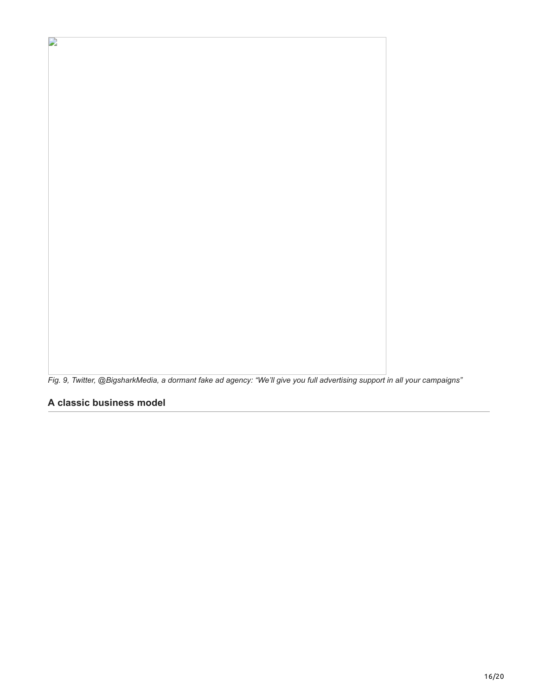*Fig. 9, Twitter, @BigsharkMedia, a dormant fake ad agency: "We'll give you full advertising support in all your campaigns"*

**A classic business model**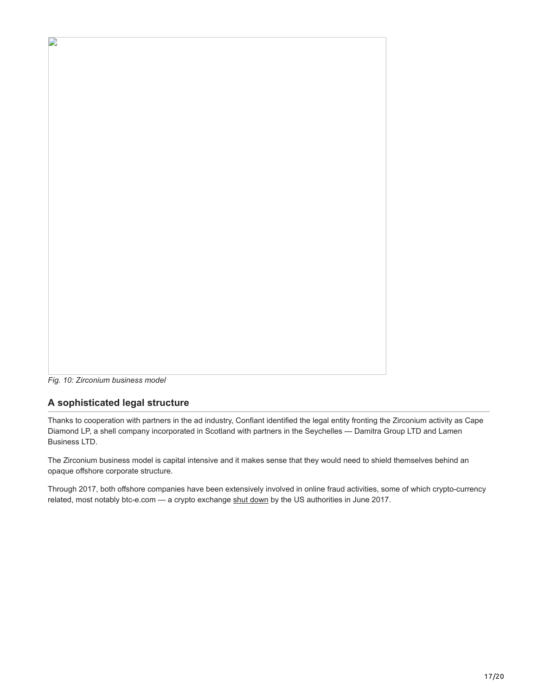

*Fig. 10: Zirconium business model*

## **A sophisticated legal structure**

Thanks to cooperation with partners in the ad industry, Confiant identified the legal entity fronting the Zirconium activity as Cape Diamond LP, a shell company incorporated in Scotland with partners in the Seychelles — Damitra Group LTD and Lamen Business LTD.

The Zirconium business model is capital intensive and it makes sense that they would need to shield themselves behind an opaque offshore corporate structure.

Through 2017, both offshore companies have been extensively involved in online fraud activities, some of which crypto-currency related, most notably btc-e.com — a crypto exchange [shut down](https://www.theverge.com/2017/7/29/16060344/btce-bitcoin-exchange-takedown-mt-gox-theft-law-enforcement) by the US authorities in June 2017.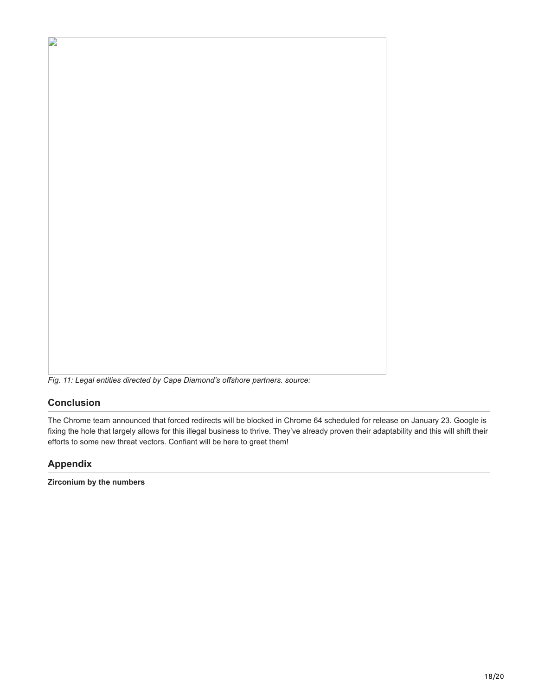

#### **Conclusion**

D

The Chrome team announced that forced redirects will be blocked in Chrome 64 scheduled for release on January 23. Google is fixing the hole that largely allows for this illegal business to thrive. They've already proven their adaptability and this will shift their efforts to some new threat vectors. Confiant will be here to greet them!

#### **Appendix**

**Zirconium by the numbers**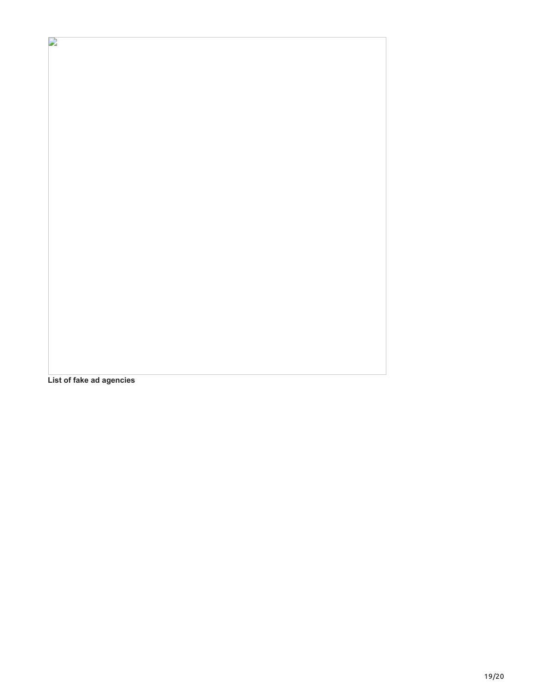**List of fake ad agencies**

 $\mathbf{r}$